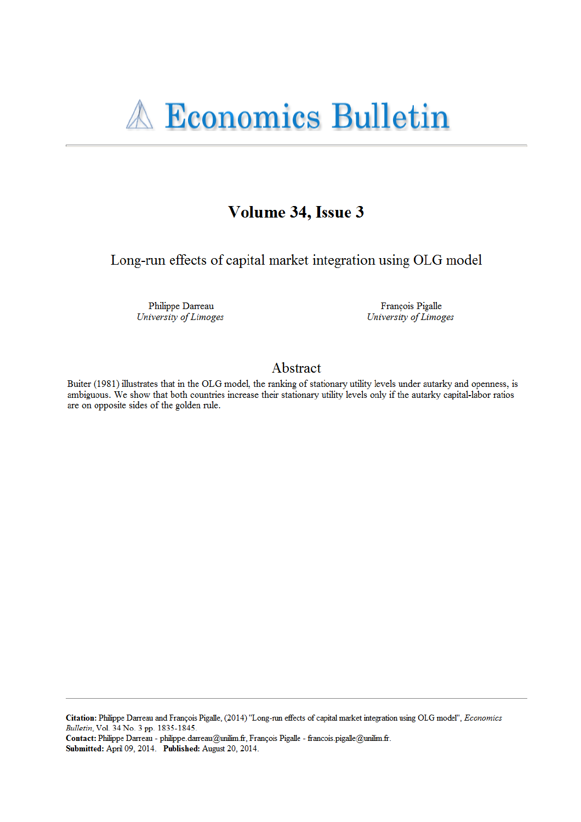# **A Economics Bulletin**

## Volume 34, Issue 3

Long-run effects of capital market integration using OLG model

Philippe Darreau University of Limoges

François Pigalle University of Limoges

### Abstract

Buiter (1981) illustrates that in the OLG model, the ranking of stationary utility levels under autarky and openness, is ambiguous. We show that both countries increase their stationary utility levels only if the autarky capital-labor ratios are on opposite sides of the golden rule.

Citation: Philippe Darreau and François Pigalle, (2014) "Long-run effects of capital market integration using OLG model", Economics Bulletin, Vol. 34 No. 3 pp. 1835-1845.

Contact: Philippe Darreau - philippe.darreau@unilim.fr, François Pigalle - francois.pigalle@unilim.fr. Submitted: April 09, 2014. Published: August 20, 2014.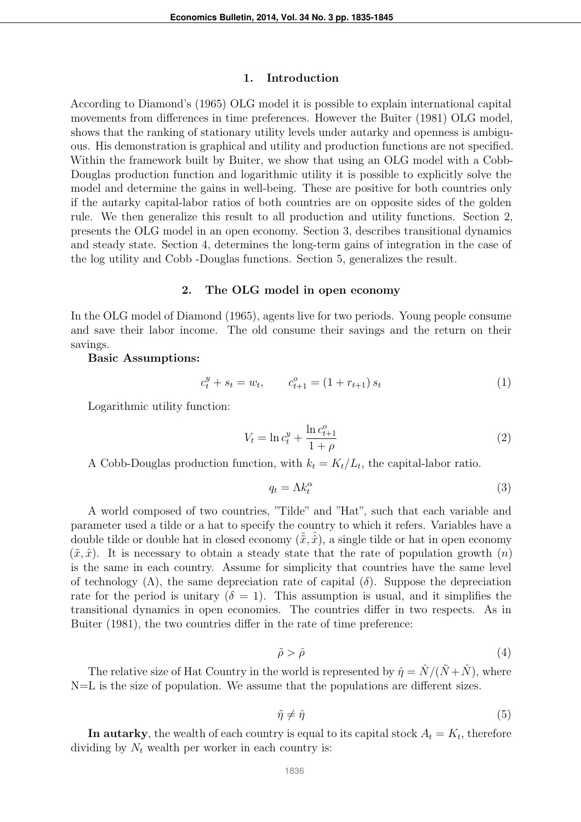#### 1. Introduction

According to Diamond's (1965) OLG model it is possible to explain international capital movements from differences in time preferences. However the Buiter (1981) OLG model, shows that the ranking of stationary utility levels under autarky and openness is ambiguous. His demonstration is graphical and utility and production functions are not specified. Within the framework built by Buiter, we show that using an OLG model with a Cobb-Douglas production function and logarithmic utility it is possible to explicitly solve the model and determine the gains in well-being. These are positive for both countries only if the autarky capital-labor ratios of both countries are on opposite sides of the golden rule. We then generalize this result to all production and utility functions. Section 2, presents the OLG model in an open economy. Section 3, describes transitional dynamics and steady state. Section 4, determines the long-term gains of integration in the case of the log utility and Cobb -Douglas functions. Section 5, generalizes the result.

#### 2. The OLG model in open economy

In the OLG model of Diamond (1965), agents live for two periods. Young people consume and save their labor income. The old consume their savings and the return on their savings.

#### Basic Assumptions:

$$
c_t^y + s_t = w_t, \qquad c_{t+1}^o = (1 + r_{t+1}) s_t \tag{1}
$$

Logarithmic utility function:

$$
V_t = \ln c_t^y + \frac{\ln c_{t+1}^o}{1 + \rho} \tag{2}
$$

A Cobb-Douglas production function, with  $k_t = K_t/L_t$ , the capital-labor ratio.

$$
q_t = \Lambda k_t^{\alpha} \tag{3}
$$

A world composed of two countries, "Tilde" and "Hat", such that each variable and parameter used a tilde or a hat to specify the country to which it refers. Variables have a double tilde or double hat in closed economy  $(\tilde{\tilde{x}}, \hat{\tilde{x}})$ , a single tilde or hat in open economy  $(\tilde{x}, \hat{x})$ . It is necessary to obtain a steady state that the rate of population growth  $(n)$ is the same in each country. Assume for simplicity that countries have the same level of technology  $(\Lambda)$ , the same depreciation rate of capital  $(\delta)$ . Suppose the depreciation rate for the period is unitary  $(\delta = 1)$ . This assumption is usual, and it simplifies the transitional dynamics in open economies. The countries differ in two respects. As in Buiter (1981), the two countries differ in the rate of time preference:

$$
\tilde{\rho} > \hat{\rho} \tag{4}
$$

The relative size of Hat Country in the world is represented by  $\hat{\eta} = \hat{N}/(\tilde{N} + \hat{N})$ , where N=L is the size of population. We assume that the populations are different sizes.

$$
\tilde{\eta} \neq \hat{\eta} \tag{5}
$$

In autarky, the wealth of each country is equal to its capital stock  $A_t = K_t$ , therefore dividing by  $N_t$  wealth per worker in each country is: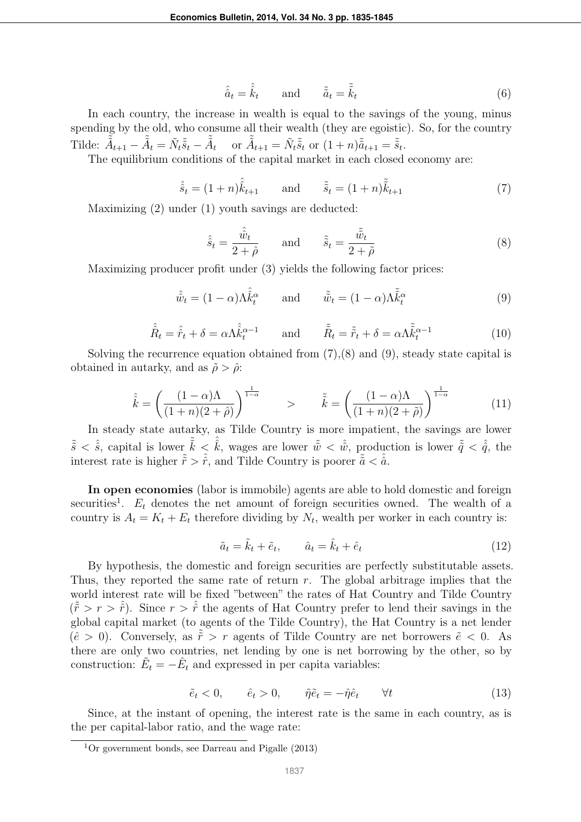$$
\hat{\hat{a}}_t = \hat{\hat{k}}_t \quad \text{and} \quad \tilde{\tilde{a}}_t = \tilde{\tilde{k}}_t \tag{6}
$$

In each country, the increase in wealth is equal to the savings of the young, minus spending by the old, who consume all their wealth (they are egoistic). So, for the country Tilde:  $\tilde{\tilde{A}}_{t+1} - \tilde{\tilde{A}}_t = \tilde{N}_t \tilde{\tilde{s}}_t - \tilde{\tilde{A}}_t$  or  $\tilde{\tilde{A}}_{t+1} = \tilde{N}_t \tilde{\tilde{s}}_t$  or  $(1+n)\tilde{\tilde{a}}_{t+1} = \tilde{\tilde{s}}_t$ .

The equilibrium conditions of the capital market in each closed economy are:

$$
\hat{\hat{s}}_t = (1+n)\hat{\hat{k}}_{t+1}
$$
 and  $\tilde{\hat{s}}_t = (1+n)\tilde{\hat{k}}_{t+1}$  (7)

Maximizing (2) under (1) youth savings are deducted:

$$
\hat{\hat{s}}_t = \frac{\hat{\hat{w}}_t}{2 + \hat{\rho}} \quad \text{and} \quad \tilde{\tilde{s}}_t = \frac{\tilde{\tilde{w}}_t}{2 + \tilde{\rho}}
$$
\n(8)

Maximizing producer profit under (3) yields the following factor prices:

$$
\hat{\hat{w}}_t = (1 - \alpha)\Lambda \hat{\hat{k}}_t^{\alpha} \quad \text{and} \quad \tilde{\tilde{w}}_t = (1 - \alpha)\Lambda \tilde{\tilde{k}}_t^{\alpha} \tag{9}
$$

$$
\hat{\hat{R}}_t = \hat{\hat{r}}_t + \delta = \alpha \Lambda \hat{\hat{k}}_t^{\alpha - 1} \quad \text{and} \quad \tilde{\hat{R}}_t = \tilde{\tilde{r}}_t + \delta = \alpha \Lambda \tilde{\tilde{k}}_t^{\alpha - 1} \tag{10}
$$

Solving the recurrence equation obtained from  $(7),(8)$  and  $(9)$ , steady state capital is obtained in autarky, and as  $\tilde{\rho} > \hat{\rho}$ :

$$
\hat{\hat{k}} = \left(\frac{(1-\alpha)\Lambda}{(1+n)(2+\hat{\rho})}\right)^{\frac{1}{1-\alpha}} \qquad \qquad \hat{\tilde{k}} = \left(\frac{(1-\alpha)\Lambda}{(1+n)(2+\tilde{\rho})}\right)^{\frac{1}{1-\alpha}} \tag{11}
$$

In steady state autarky, as Tilde Country is more impatient, the savings are lower  $\tilde{\tilde{s}} < \hat{\hat{s}}$ , capital is lower  $\tilde{\tilde{k}} < \hat{\hat{k}}$ , wages are lower  $\tilde{\tilde{w}} < \hat{\hat{w}}$ , production is lower  $\tilde{\tilde{q}} < \hat{\hat{q}}$ , the interest rate is higher  $\tilde{\tilde{r}} > \hat{r}$ , and Tilde Country is poorer  $\tilde{\tilde{a}} < \hat{\tilde{a}}$ .

In open economies (labor is immobile) agents are able to hold domestic and foreign securities<sup>1</sup>.  $E_t$  denotes the net amount of foreign securities owned. The wealth of a country is  $A_t = K_t + E_t$  therefore dividing by  $N_t$ , wealth per worker in each country is:

$$
\tilde{a}_t = \tilde{k}_t + \tilde{e}_t, \qquad \hat{a}_t = \hat{k}_t + \hat{e}_t \tag{12}
$$

By hypothesis, the domestic and foreign securities are perfectly substitutable assets. Thus, they reported the same rate of return  $r$ . The global arbitrage implies that the world interest rate will be fixed "between" the rates of Hat Country and Tilde Country  $({\tilde{r}} > r > {\hat{r}})$ . Since  $r > {\hat{r}}$  the agents of Hat Country prefer to lend their savings in the global capital market (to agents of the Tilde Country), the Hat Country is a net lender  $(\hat{e} > 0)$ . Conversely, as  $\tilde{r} > r$  agents of Tilde Country are net borrowers  $\tilde{e} < 0$ . As there are only two countries, net lending by one is net borrowing by the other, so by construction:  $\tilde{E}_t = -\hat{E}_t$  and expressed in per capita variables:

$$
\tilde{e}_t < 0, \qquad \hat{e}_t > 0, \qquad \tilde{\eta}\tilde{e}_t = -\hat{\eta}\hat{e}_t \qquad \forall t \tag{13}
$$

Since, at the instant of opening, the interest rate is the same in each country, as is the per capital-labor ratio, and the wage rate:

<sup>&</sup>lt;sup>1</sup>Or government bonds, see Darreau and Pigalle  $(2013)$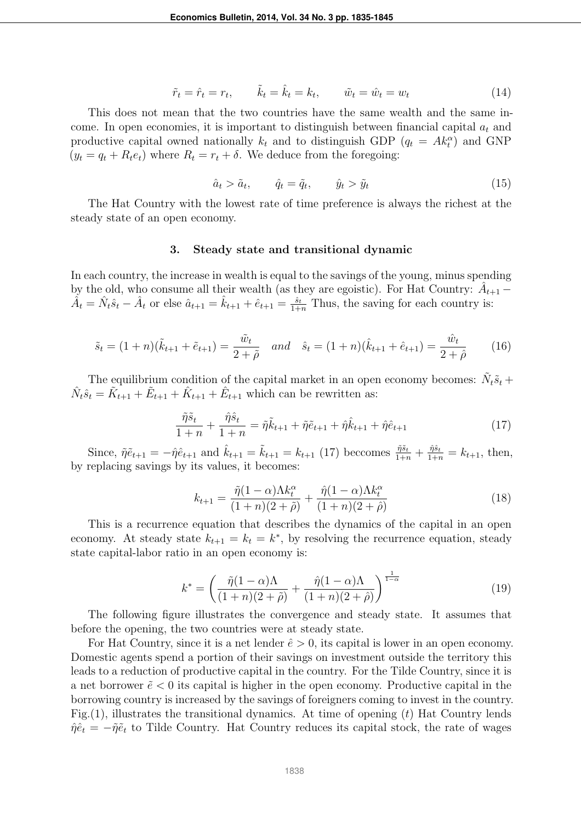$$
\tilde{r}_t = \hat{r}_t = r_t, \qquad \tilde{k}_t = \hat{k}_t = k_t, \qquad \tilde{w}_t = \hat{w}_t = w_t \tag{14}
$$

This does not mean that the two countries have the same wealth and the same income. In open economies, it is important to distinguish between financial capital  $a_t$  and productive capital owned nationally  $k_t$  and to distinguish GDP  $(q_t = Ak_t^{\alpha})$  and GNP  $(y_t = q_t + R_t e_t)$  where  $R_t = r_t + \delta$ . We deduce from the foregoing:

$$
\hat{a}_t > \tilde{a}_t, \qquad \hat{q}_t = \tilde{q}_t, \qquad \hat{y}_t > \tilde{y}_t \tag{15}
$$

The Hat Country with the lowest rate of time preference is always the richest at the steady state of an open economy.

#### 3. Steady state and transitional dynamic

In each country, the increase in wealth is equal to the savings of the young, minus spending by the old, who consume all their wealth (as they are egoistic). For Hat Country:  $\hat{A}_{t+1}$  –  $\hat{A}_t = \hat{N}_t \hat{s}_t - \hat{A}_t$  or else  $\hat{a}_{t+1} = \hat{k}_{t+1} + \hat{e}_{t+1} = \frac{\hat{s}_t}{1+n}$  Thus, the saving for each country is:

$$
\tilde{s}_t = (1+n)(\tilde{k}_{t+1} + \tilde{e}_{t+1}) = \frac{\tilde{w}_t}{2+\tilde{\rho}} \quad and \quad \hat{s}_t = (1+n)(\hat{k}_{t+1} + \hat{e}_{t+1}) = \frac{\hat{w}_t}{2+\hat{\rho}} \tag{16}
$$

The equilibrium condition of the capital market in an open economy becomes:  $\tilde{N}_t \tilde{s}_t$  +  $\hat{N}_t \hat{s}_t = \tilde{K}_{t+1} + \tilde{E}_{t+1} + \hat{K}_{t+1} + \hat{E}_{t+1}$  which can be rewritten as:

$$
\frac{\tilde{\eta}\tilde{s}_t}{1+n} + \frac{\hat{\eta}\hat{s}_t}{1+n} = \tilde{\eta}\tilde{k}_{t+1} + \tilde{\eta}\tilde{e}_{t+1} + \hat{\eta}\hat{k}_{t+1} + \hat{\eta}\hat{e}_{t+1}
$$
(17)

Since,  $\tilde{\eta} \tilde{e}_{t+1} = -\hat{\eta} \hat{e}_{t+1}$  and  $\hat{k}_{t+1} = \tilde{k}_{t+1} = k_{t+1}$  (17) beccomes  $\frac{\tilde{\eta} \tilde{s}_t}{1+n} + \frac{\hat{\eta} \tilde{s}_t}{1+n} = k_{t+1}$ , then, by replacing savings by its values, it becomes:

$$
k_{t+1} = \frac{\tilde{\eta}(1-\alpha)\Lambda k_t^{\alpha}}{(1+n)(2+\tilde{\rho})} + \frac{\hat{\eta}(1-\alpha)\Lambda k_t^{\alpha}}{(1+n)(2+\tilde{\rho})}
$$
(18)

This is a recurrence equation that describes the dynamics of the capital in an open economy. At steady state  $k_{t+1} = k_t = k^*$ , by resolving the recurrence equation, steady state capital-labor ratio in an open economy is:

$$
k^* = \left(\frac{\tilde{\eta}(1-\alpha)\Lambda}{(1+n)(2+\tilde{\rho})} + \frac{\hat{\eta}(1-\alpha)\Lambda}{(1+n)(2+\hat{\rho})}\right)^{\frac{1}{1-\alpha}}
$$
(19)

The following figure illustrates the convergence and steady state. It assumes that before the opening, the two countries were at steady state.

For Hat Country, since it is a net lender  $\hat{e} > 0$ , its capital is lower in an open economy. Domestic agents spend a portion of their savings on investment outside the territory this leads to a reduction of productive capital in the country. For the Tilde Country, since it is a net borrower  $\tilde{e}$  < 0 its capital is higher in the open economy. Productive capital in the borrowing country is increased by the savings of foreigners coming to invest in the country. Fig.  $(1)$ , illustrates the transitional dynamics. At time of opening  $(t)$  Hat Country lends  $\hat{\eta} \hat{e}_t = -\tilde{\eta} \tilde{e}_t$  to Tilde Country. Hat Country reduces its capital stock, the rate of wages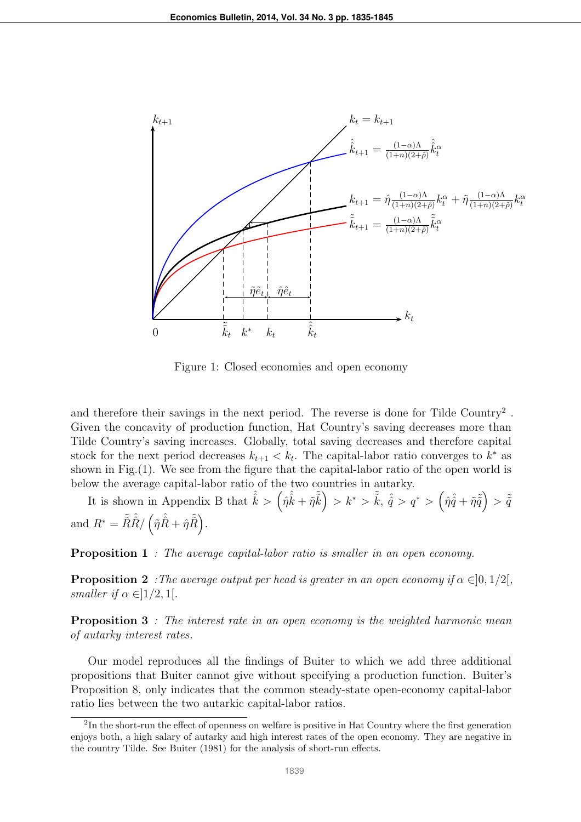

Figure 1: Closed economies and open economy

and therefore their savings in the next period. The reverse is done for Tilde Country<sup>2</sup>. Given the concavity of production function, Hat Country's saving decreases more than Tilde Country's saving increases. Globally, total saving decreases and therefore capital stock for the next period decreases  $k_{t+1} < k_t$ . The capital-labor ratio converges to  $k^*$  as shown in Fig.(1). We see from the figure that the capital-labor ratio of the open world is below the average capital-labor ratio of the two countries in autarky.

It is shown in Appendix B that  $\hat{\hat{k}} > (\hat{\eta}\hat{\hat{k}} + \tilde{\eta}\tilde{\tilde{k}}) > k^* > \tilde{\tilde{k}}, \hat{\hat{q}} > q^* > (\hat{\eta}\hat{\hat{q}} + \tilde{\eta}\tilde{\tilde{q}}) > \tilde{\tilde{q}}$ and  $R^* = \tilde{\tilde{R}} \hat{\hat{R}} / (\tilde{\eta} \hat{\hat{R}} + \hat{\eta} \tilde{\tilde{R}}).$ 

Proposition 1 *: The average capital-labor ratio is smaller in an open economy.*

**Proposition 2** *:The average output per head is greater in an open economy if*  $\alpha \in ]0,1/2[$ *, smaller if*  $\alpha \in ]1/2, 1[$ *.* 

Proposition 3 *: The interest rate in an open economy is the weighted harmonic mean of autarky interest rates.*

Our model reproduces all the findings of Buiter to which we add three additional propositions that Buiter cannot give without specifying a production function. Buiter's Proposition 8, only indicates that the common steady-state open-economy capital-labor ratio lies between the two autarkic capital-labor ratios.

 ${}^{2}$ In the short-run the effect of openness on welfare is positive in Hat Country where the first generation enjoys both, a high salary of autarky and high interest rates of the open economy. They are negative in the country Tilde. See Buiter (1981) for the analysis of short-run effects.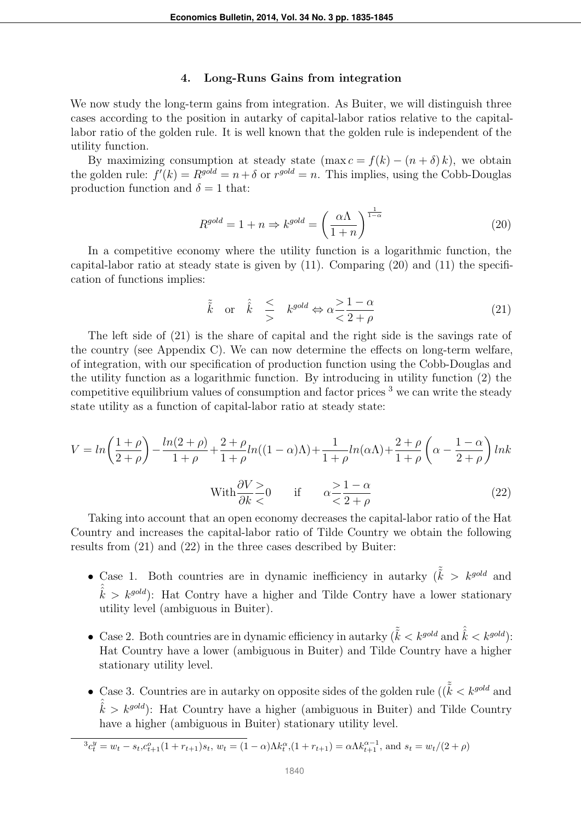#### 4. Long-Runs Gains from integration

We now study the long-term gains from integration. As Buiter, we will distinguish three cases according to the position in autarky of capital-labor ratios relative to the capitallabor ratio of the golden rule. It is well known that the golden rule is independent of the utility function.

By maximizing consumption at steady state  $(\max c = f(k) - (n + \delta)k)$ , we obtain the golden rule:  $f'(k) = R^{gold} = n + \delta$  or  $r^{gold} = n$ . This implies, using the Cobb-Douglas production function and  $\delta = 1$  that:

$$
R^{gold} = 1 + n \Rightarrow k^{gold} = \left(\frac{\alpha \Lambda}{1 + n}\right)^{\frac{1}{1 - \alpha}} \tag{20}
$$

In a competitive economy where the utility function is a logarithmic function, the capital-labor ratio at steady state is given by (11). Comparing (20) and (11) the specification of functions implies:

$$
\tilde{k}
$$
 or  $\hat{k}$   $\leq$   $k^{gold} \Leftrightarrow \alpha \leq \frac{1-\alpha}{2+\rho}$  (21)

The left side of (21) is the share of capital and the right side is the savings rate of the country (see Appendix C). We can now determine the effects on long-term welfare, of integration, with our specification of production function using the Cobb-Douglas and the utility function as a logarithmic function. By introducing in utility function (2) the competitive equilibrium values of consumption and factor prices  $3$  we can write the steady state utility as a function of capital-labor ratio at steady state:

$$
V = \ln\left(\frac{1+\rho}{2+\rho}\right) - \frac{\ln(2+\rho)}{1+\rho} + \frac{2+\rho}{1+\rho}\ln((1-\alpha)\Lambda) + \frac{1}{1+\rho}\ln(\alpha\Lambda) + \frac{2+\rho}{1+\rho}\left(\alpha - \frac{1-\alpha}{2+\rho}\right)\ln k
$$
  
With  $\frac{\partial V}{\partial k} \ge 0$  if  $\alpha \ge \frac{1-\alpha}{2+\rho}$  (22)

Taking into account that an open economy decreases the capital-labor ratio of the Hat Country and increases the capital-labor ratio of Tilde Country we obtain the following results from (21) and (22) in the three cases described by Buiter:

- Case 1. Both countries are in dynamic inefficiency in autarky  $(\tilde{\tilde{k}} > k^{gold}$  and  $\hat{\hat{k}} > k^{gold}$ : Hat Contry have a higher and Tilde Contry have a lower stationary utility level (ambiguous in Buiter).
- Case 2. Both countries are in dynamic efficiency in autarky  $(\tilde{\tilde{k}} < k^{gold}$  and  $\hat{\tilde{k}} < k^{gold}$ : Hat Country have a lower (ambiguous in Buiter) and Tilde Country have a higher stationary utility level.
- Case 3. Countries are in autarky on opposite sides of the golden rule  $((\tilde{\tilde{k}} < k^{gold}$  and  $\hat{\hat{k}} > k^{gold}$ ): Hat Country have a higher (ambiguous in Buiter) and Tilde Country have a higher (ambiguous in Buiter) stationary utility level.

$$
{}^{3}c_{t}^{y} = w_{t} - s_{t}, c_{t+1}^{o}(1 + r_{t+1})s_{t}, w_{t} = (1 - \alpha)\Lambda k_{t}^{\alpha}, (1 + r_{t+1}) = \alpha \Lambda k_{t+1}^{\alpha - 1}, \text{ and } s_{t} = w_{t}/(2 + \rho)
$$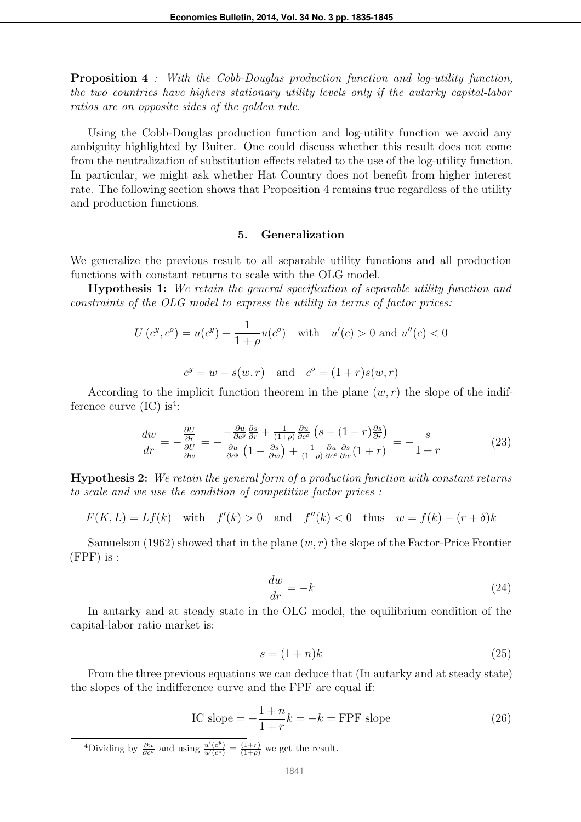Proposition 4 *: With the Cobb-Douglas production function and log-utility function, the two countries have highers stationary utility levels only if the autarky capital-labor ratios are on opposite sides of the golden rule.*

Using the Cobb-Douglas production function and log-utility function we avoid any ambiguity highlighted by Buiter. One could discuss whether this result does not come from the neutralization of substitution effects related to the use of the log-utility function. In particular, we might ask whether Hat Country does not benefit from higher interest rate. The following section shows that Proposition 4 remains true regardless of the utility and production functions.

#### 5. Generalization

We generalize the previous result to all separable utility functions and all production functions with constant returns to scale with the OLG model.

Hypothesis 1: *We retain the general specification of separable utility function and constraints of the OLG model to express the utility in terms of factor prices:*

$$
U(c^{y}, c^{o}) = u(c^{y}) + \frac{1}{1+\rho}u(c^{o}) \text{ with } u'(c) > 0 \text{ and } u''(c) < 0
$$
  

$$
c^{y} = w - s(w, r) \text{ and } c^{o} = (1+r)s(w, r)
$$

According to the implicit function theorem in the plane  $(w, r)$  the slope of the indifference curve  $(IC)$  is<sup>4</sup>:

$$
\frac{dw}{dr} = -\frac{\frac{\partial U}{\partial r}}{\frac{\partial U}{\partial w}} = -\frac{-\frac{\partial u}{\partial c^y}\frac{\partial s}{\partial r} + \frac{1}{(1+\rho)}\frac{\partial u}{\partial c^o}\left(s + (1+r)\frac{\partial s}{\partial r}\right)}{\frac{\partial u}{\partial c^y}\left(1 - \frac{\partial s}{\partial w}\right) + \frac{1}{(1+\rho)}\frac{\partial u}{\partial c^o}\frac{\partial s}{\partial w}(1+r)} = -\frac{s}{1+r}
$$
\n(23)

Hypothesis 2: *We retain the general form of a production function with constant returns to scale and we use the condition of competitive factor prices :*

$$
F(K,L) = Lf(k) \quad \text{with} \quad f'(k) > 0 \quad \text{and} \quad f''(k) < 0 \quad \text{thus} \quad w = f(k) - (r+\delta)k
$$

Samuelson (1962) showed that in the plane  $(w, r)$  the slope of the Factor-Price Frontier (FPF) is :

$$
\frac{dw}{dr} = -k\tag{24}
$$

In autarky and at steady state in the OLG model, the equilibrium condition of the capital-labor ratio market is:

$$
s = (1+n)k\tag{25}
$$

From the three previous equations we can deduce that (In autarky and at steady state) the slopes of the indifference curve and the FPF are equal if:

IC slope = 
$$
-\frac{1+n}{1+r}k = -k = \text{FPF slope}
$$
 (26)

<sup>4</sup>Dividing by  $\frac{\partial u}{\partial c^o}$  and using  $\frac{u'(c^y)}{u'(c^o)} = \frac{(1+r)}{(1+\rho)}$  we get the result.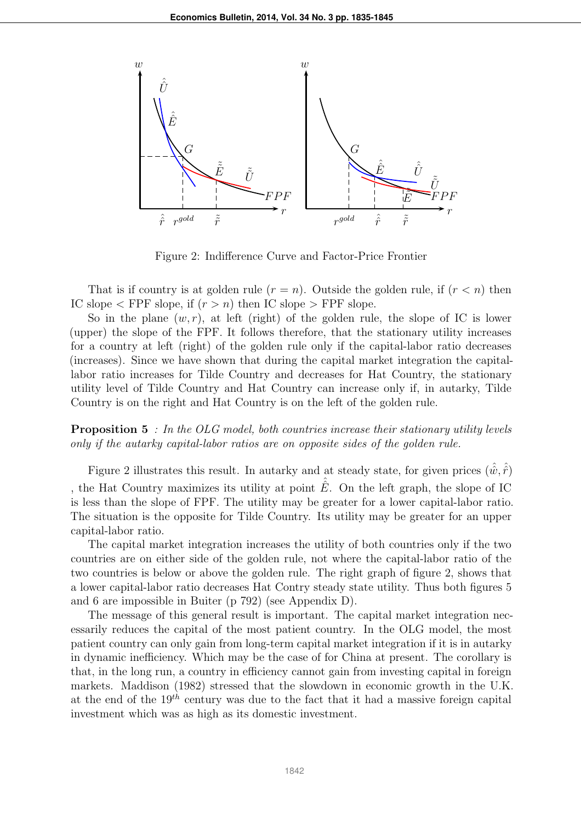

Figure 2: Indifference Curve and Factor-Price Frontier

That is if country is at golden rule  $(r = n)$ . Outside the golden rule, if  $(r < n)$  then IC slope  $\lt$  FPF slope, if  $(r > n)$  then IC slope  $>$  FPF slope.

So in the plane  $(w, r)$ , at left (right) of the golden rule, the slope of IC is lower (upper) the slope of the FPF. It follows therefore, that the stationary utility increases for a country at left (right) of the golden rule only if the capital-labor ratio decreases (increases). Since we have shown that during the capital market integration the capitallabor ratio increases for Tilde Country and decreases for Hat Country, the stationary utility level of Tilde Country and Hat Country can increase only if, in autarky, Tilde Country is on the right and Hat Country is on the left of the golden rule.

Proposition 5 *: In the OLG model, both countries increase their stationary utility levels only if the autarky capital-labor ratios are on opposite sides of the golden rule.*

Figure 2 illustrates this result. In autarky and at steady state, for given prices  $(\hat{w}, \hat{\hat{r}})$ , the Hat Country maximizes its utility at point  $\hat{E}$ . On the left graph, the slope of IC is less than the slope of FPF. The utility may be greater for a lower capital-labor ratio. The situation is the opposite for Tilde Country. Its utility may be greater for an upper capital-labor ratio.

The capital market integration increases the utility of both countries only if the two countries are on either side of the golden rule, not where the capital-labor ratio of the two countries is below or above the golden rule. The right graph of figure 2, shows that a lower capital-labor ratio decreases Hat Contry steady state utility. Thus both figures 5 and 6 are impossible in Buiter (p 792) (see Appendix D).

The message of this general result is important. The capital market integration necessarily reduces the capital of the most patient country. In the OLG model, the most patient country can only gain from long-term capital market integration if it is in autarky in dynamic inefficiency. Which may be the case of for China at present. The corollary is that, in the long run, a country in efficiency cannot gain from investing capital in foreign markets. Maddison (1982) stressed that the slowdown in economic growth in the U.K. at the end of the  $19^{th}$  century was due to the fact that it had a massive foreign capital investment which was as high as its domestic investment.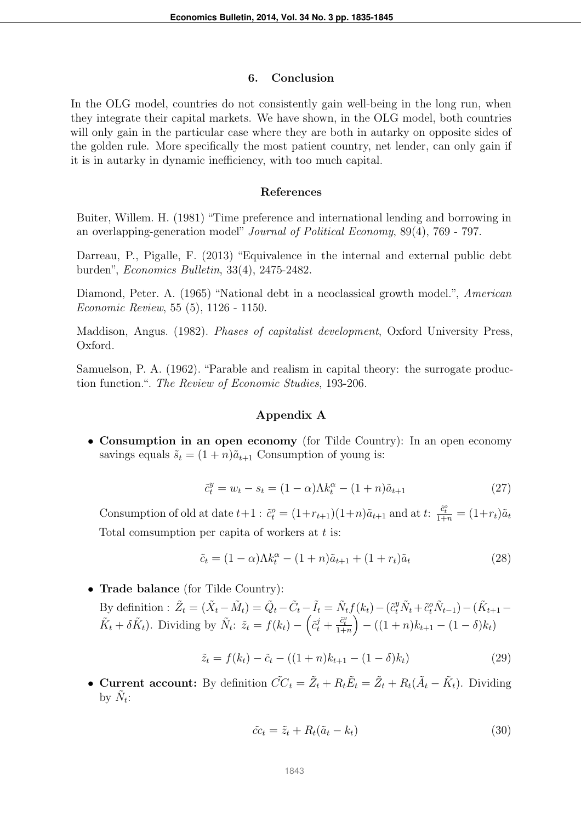#### 6. Conclusion

In the OLG model, countries do not consistently gain well-being in the long run, when they integrate their capital markets. We have shown, in the OLG model, both countries will only gain in the particular case where they are both in autarky on opposite sides of the golden rule. More specifically the most patient country, net lender, can only gain if it is in autarky in dynamic inefficiency, with too much capital.

#### References

Buiter, Willem. H. (1981) "Time preference and international lending and borrowing in an overlapping-generation model" *Journal of Political Economy*, 89(4), 769 - 797.

Darreau, P., Pigalle, F. (2013) "Equivalence in the internal and external public debt burden", *Economics Bulletin*, 33(4), 2475-2482.

Diamond, Peter. A. (1965) "National debt in a neoclassical growth model.", *American Economic Review*, 55 (5), 1126 - 1150.

Maddison, Angus. (1982). *Phases of capitalist development*, Oxford University Press, Oxford.

Samuelson, P. A. (1962). "Parable and realism in capital theory: the surrogate production function.". *The Review of Economic Studies*, 193-206.

#### Appendix A

• Consumption in an open economy (for Tilde Country): In an open economy savings equals  $\tilde{s}_t = (1+n)\tilde{a}_{t+1}$  Consumption of young is:

$$
\tilde{c}_t^y = w_t - s_t = (1 - \alpha)\Lambda k_t^{\alpha} - (1 + n)\tilde{a}_{t+1}
$$
\n(27)

Consumption of old at date  $t+1$ :  $\tilde{c}_t^o = (1+r_{t+1})(1+n)\tilde{a}_{t+1}$  and at  $t: \frac{\tilde{c}_t^o}{1+n} = (1+r_t)\tilde{a}_t$ Total comsumption per capita of workers at  $t$  is:

$$
\tilde{c}_t = (1 - \alpha)\Lambda k_t^{\alpha} - (1 + n)\tilde{a}_{t+1} + (1 + r_t)\tilde{a}_t \tag{28}
$$

• Trade balance (for Tilde Country):

By definition : 
$$
\tilde{Z}_t = (\tilde{X}_t - \tilde{M}_t) = \tilde{Q}_t - \tilde{C}_t - \tilde{I}_t = \tilde{N}_t f(k_t) - (\tilde{c}_t^y \tilde{N}_t + \tilde{c}_t^o \tilde{N}_{t-1}) - (\tilde{K}_{t+1} - \tilde{K}_t + \delta \tilde{K}_t).
$$
 Dividing by  $\tilde{N}_t$ :  $\tilde{z}_t = f(k_t) - (\tilde{c}_t^j + \frac{\tilde{c}_t^v}{1+n}) - ((1+n)k_{t+1} - (1-\delta)k_t)$ 

$$
\tilde{z}_t = f(k_t) - \tilde{c}_t - ((1+n)k_{t+1} - (1-\delta)k_t)
$$
\n(29)

• Current account: By definition  $\tilde{CC}_t = \tilde{Z}_t + R_t \tilde{E}_t = \tilde{Z}_t + R_t (\tilde{A}_t - \tilde{K}_t)$ . Dividing by  $\tilde{N}_t$ :

$$
\tilde{cc}_t = \tilde{z}_t + R_t(\tilde{a}_t - k_t) \tag{30}
$$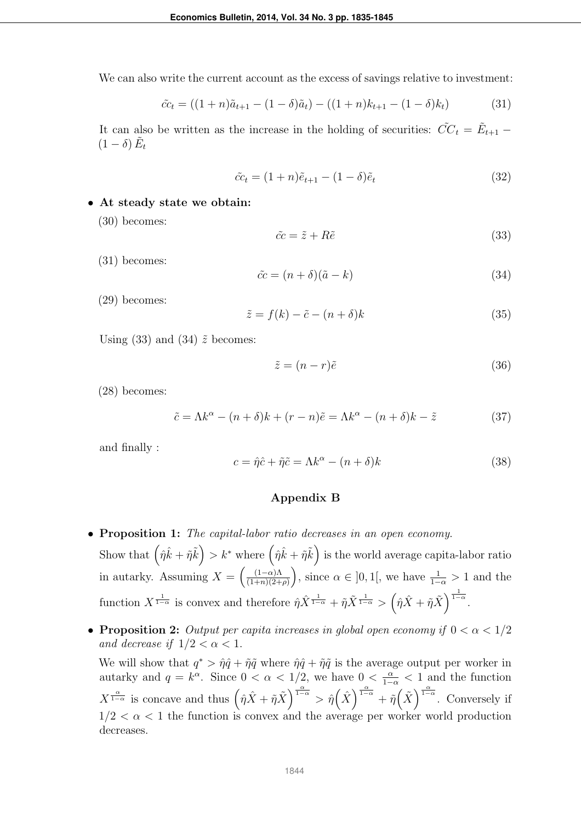We can also write the current account as the excess of savings relative to investment:

$$
\tilde{cc}_t = ((1+n)\tilde{a}_{t+1} - (1-\delta)\tilde{a}_t) - ((1+n)k_{t+1} - (1-\delta)k_t)
$$
\n(31)

It can also be written as the increase in the holding of securities:  $\tilde{CC}_t = \tilde{E}_{t+1}$  $(1 - \delta) \tilde{E}_t$ 

$$
\tilde{cc}_t = (1+n)\tilde{e}_{t+1} - (1-\delta)\tilde{e}_t \tag{32}
$$

- At steady state we obtain:
	- (30) becomes:

$$
\tilde{cc} = \tilde{z} + R\tilde{e} \tag{33}
$$

(31) becomes:

$$
\tilde{cc} = (n+\delta)(\tilde{a}-k) \tag{34}
$$

(29) becomes:

$$
\tilde{z} = f(k) - \tilde{c} - (n + \delta)k\tag{35}
$$

Using (33) and (34)  $\tilde{z}$  becomes:

$$
\tilde{z} = (n - r)\tilde{e} \tag{36}
$$

(28) becomes:

$$
\tilde{c} = \Lambda k^{\alpha} - (n+\delta)k + (r-n)\tilde{e} = \Lambda k^{\alpha} - (n+\delta)k - \tilde{z}
$$
\n(37)

and finally :

$$
c = \hat{\eta}\hat{c} + \tilde{\eta}\tilde{c} = \Lambda k^{\alpha} - (n+\delta)k
$$
\n(38)

#### Appendix B

• Proposition 1: *The capital-labor ratio decreases in an open economy*.

Show that  $(\hat{\eta}\hat{k} + \tilde{\eta}\tilde{k}) > k^*$  where  $(\hat{\eta}\hat{k} + \tilde{\eta}\tilde{k})$  is the world average capita-labor ratio in autarky. Assuming  $X = \left(\frac{(1-\alpha)\Lambda}{(1+n)(2+\alpha)}\right)$  $\frac{(1-\alpha)\Lambda}{(1+n)(2+\rho)}$ , since  $\alpha \in ]0,1[$ , we have  $\frac{1}{1-\alpha} > 1$  and the function  $X^{\frac{1}{1-\alpha}}$  is convex and therefore  $\hat{\eta}\hat{X}^{\frac{1}{1-\alpha}} + \tilde{\eta}\tilde{X}^{\frac{1}{1-\alpha}} > (\hat{\eta}\hat{X} + \tilde{\eta}\tilde{X})^{\frac{1}{1-\alpha}}$ .

• **Proposition 2:** *Output per capita increases in global open economy if*  $0 < \alpha < 1/2$ *and decrease if*  $1/2 < \alpha < 1$ .

We will show that  $q^* > \hat{\eta} \hat{q} + \tilde{\eta} \tilde{q}$  where  $\hat{\eta} \hat{q} + \tilde{\eta} \tilde{q}$  is the average output per worker in autarky and  $q = k^{\alpha}$ . Since  $0 < \alpha < 1/2$ , we have  $0 < \frac{\alpha}{1-\alpha} < 1$  and the function  $X^{\frac{\alpha}{1-\alpha}}$  is concave and thus  $(\hat{\eta}\hat{X}+\tilde{\eta}\tilde{X})^{\frac{\alpha}{1-\alpha}} > \hat{\eta}\left(\hat{X}\right)^{\frac{\alpha}{1-\alpha}}+\tilde{\eta}\left(\tilde{X}\right)^{\frac{\alpha}{1-\alpha}}$ . Conversely if  $1/2 < \alpha < 1$  the function is convex and the average per worker world production decreases.